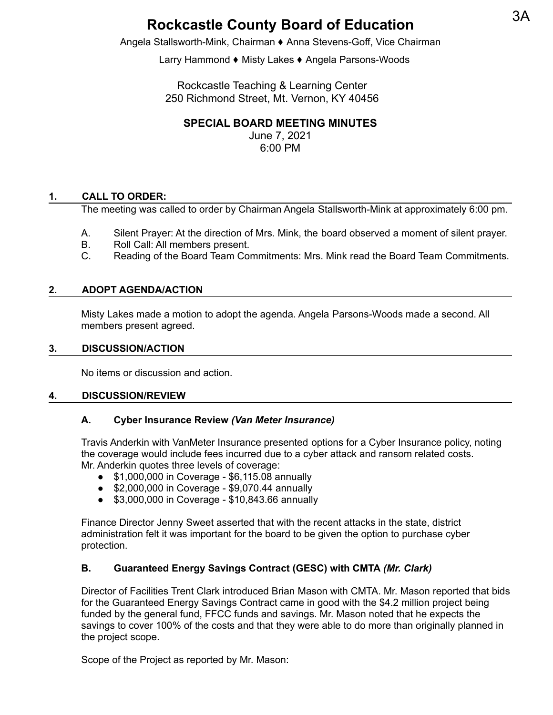# **Rockcastle County Board of Education**

Angela Stallsworth-Mink, Chairman ⬧ Anna Stevens-Goff, Vice Chairman

Larry Hammond ♦ Misty Lakes ♦ Angela Parsons-Woods

Rockcastle Teaching & Learning Center 250 Richmond Street, Mt. Vernon, KY 40456

## **SPECIAL BOARD MEETING MINUTES**

June 7, 2021 6:00 PM

## **1. CALL TO ORDER:**

The meeting was called to order by Chairman Angela Stallsworth-Mink at approximately 6:00 pm.

- A. Silent Prayer: At the direction of Mrs. Mink, the board observed a moment of silent prayer.
- B. Roll Call: All members present.
- C. Reading of the Board Team Commitments: Mrs. Mink read the Board Team Commitments.

#### **2. ADOPT AGENDA/ACTION**

Misty Lakes made a motion to adopt the agenda. Angela Parsons-Woods made a second. All members present agreed.

#### **3. DISCUSSION/ACTION**

No items or discussion and action.

#### **4. DISCUSSION/REVIEW**

#### **A. Cyber Insurance Review** *(Van Meter Insurance)*

Travis Anderkin with VanMeter Insurance presented options for a Cyber Insurance policy, noting the coverage would include fees incurred due to a cyber attack and ransom related costs. Mr. Anderkin quotes three levels of coverage:

- \$1,000,000 in Coverage \$6,115.08 annually
- \$2,000,000 in Coverage \$9,070.44 annually
- \$3,000,000 in Coverage \$10,843.66 annually

Finance Director Jenny Sweet asserted that with the recent attacks in the state, district administration felt it was important for the board to be given the option to purchase cyber protection.

## **B. Guaranteed Energy Savings Contract (GESC) with CMTA** *(Mr. Clark)*

Director of Facilities Trent Clark introduced Brian Mason with CMTA. Mr. Mason reported that bids for the Guaranteed Energy Savings Contract came in good with the \$4.2 million project being funded by the general fund, FFCC funds and savings. Mr. Mason noted that he expects the savings to cover 100% of the costs and that they were able to do more than originally planned in the project scope.

Scope of the Project as reported by Mr. Mason: